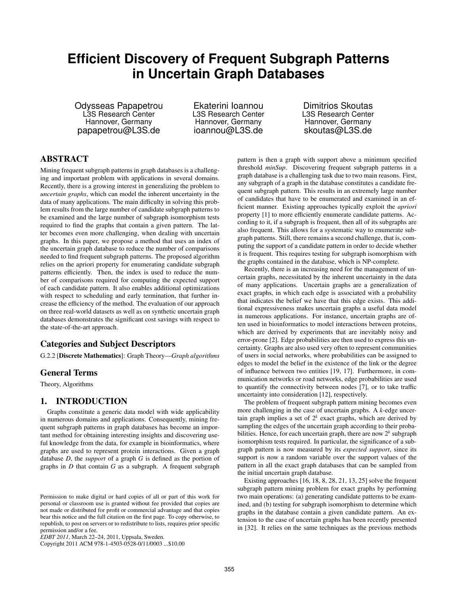# **Efficient** Discovery of Frequency of Patterns Subsets Subsets Subsets Subsets Subsets Subsets Subsets Subsets Subsets Subsets Subsets Subsets Subsets Subsets Subsets Subsets Subsets Subsets Subsets Subsets Subsets Subsets **in Uncertain Graph Databases**

Odysseas Papapetrou L3S Research Center Hannover, Germany papapetrou@L3S.de

Ekaterini Ioannou L3S Research Center Hannover, Germany ioannou@L3S.de

Dimitrios Skoutas L3S Research Center Hannover, Germany skoutas@L3S.de

# ABSTRACT

Mining frequent subgraph patterns in graph databases is a challenging and important problem with applications in several domains. Recently, there is a growing interest in generalizing the problem to *uncertain graphs*, which can model the inherent uncertainty in the data of many applications. The main difficulty in solving this problem results from the large number of candidate subgraph patterns to be examined and the large number of subgraph isomorphism tests required to find the graphs that contain a given pattern. The latter becomes even more challenging, when dealing with uncertain graphs. In this paper, we propose a method that uses an index of the uncertain graph database to reduce the number of comparisons needed to find frequent subgraph patterns. The proposed algorithm relies on the apriori property for enumerating candidate subgraph patterns efficiently. Then, the index is used to reduce the number of comparisons required for computing the expected support of each candidate pattern. It also enables additional optimizations with respect to scheduling and early termination, that further increase the efficiency of the method. The evaluation of our approach on three real-world datasets as well as on synthetic uncertain graph databases demonstrates the significant cost savings with respect to the state-of-the-art approach.

# Categories and Subject Descriptors

G.2.2 [Discrete Mathematics]: Graph Theory—*Graph algorithms*

# General Terms

Theory, Algorithms

# 1. INTRODUCTION

Graphs constitute a generic data model with wide applicability in numerous domains and applications. Consequently, mining frequent subgraph patterns in graph databases has become an important method for obtaining interesting insights and discovering useful knowledge from the data, for example in bioinformatics, where graphs are used to represent protein interactions. Given a graph database *D*, the *support* of a graph *G* is defined as the portion of graphs in *D* that contain *G* as a subgraph. A frequent subgraph

*EDBT 2011*, March 22–24, 2011, Uppsala, Sweden.

Copyright 2011 ACM 978-1-4503-0528-0/11/0003 ...\$10.00

pattern is then a graph with support above a minimum specified threshold *minSup*. Discovering frequent subgraph patterns in a graph database is a challenging task due to two main reasons. First, any subgraph of a graph in the database constitutes a candidate frequent subgraph pattern. This results in an extremely large number of candidates that have to be enumerated and examined in an efficient manner. Existing approaches typically exploit the *apriori* property [1] to more efficiently enumerate candidate patterns. According to it, if a subgraph is frequent, then all of its subgraphs are also frequent. This allows for a systematic way to enumerate subgraph patterns. Still, there remains a second challenge, that is, computing the support of a candidate pattern in order to decide whether it is frequent. This requires testing for subgraph isomorphism with the graphs contained in the database, which is NP-complete.

Recently, there is an increasing need for the management of uncertain graphs, necessitated by the inherent uncertainty in the data of many applications. Uncertain graphs are a generalization of exact graphs, in which each edge is associated with a probability that indicates the belief we have that this edge exists. This additional expressiveness makes uncertain graphs a useful data model in numerous applications. For instance, uncertain graphs are often used in bioinformatics to model interactions between proteins, which are derived by experiments that are inevitably noisy and error-prone [2]. Edge probabilities are then used to express this uncertainty. Graphs are also used very often to represent communities of users in social networks, where probabilities can be assigned to edges to model the belief in the existence of the link or the degree of influence between two entities [19, 17]. Furthermore, in communication networks or road networks, edge probabilities are used to quantify the connectivity between nodes [7], or to take traffic uncertainty into consideration [12], respectively.

The problem of frequent subgraph pattern mining becomes even more challenging in the case of uncertain graphs. A *k*-edge uncertain graph implies a set of  $2<sup>k</sup>$  exact graphs, which are derived by sampling the edges of the uncertain graph according to their probabilities. Hence, for each uncertain graph, there are now  $2^k$  subgraph isomorphism tests required. In particular, the significance of a subgraph pattern is now measured by its *expected support*, since its support is now a random variable over the support values of the pattern in all the exact graph databases that can be sampled from the initial uncertain graph database.

Existing approaches [16, 18, 8, 28, 21, 13, 25] solve the frequent subgraph pattern mining problem for exact graphs by performing two main operations: (a) generating candidate patterns to be examined, and (b) testing for subgraph isomorphism to determine which graphs in the database contain a given candidate pattern. An extension to the case of uncertain graphs has been recently presented in [32]. It relies on the same techniques as the previous methods

Permission to make digital or hard copies of all or part of this work for personal or classroom use is granted without fee provided that copies are not made or distributed for profit or commercial advantage and that copies bear this notice and the full citation on the first page. To copy otherwise, to republish, to post on servers or to redistribute to lists, requires prior specific permission and/or a fee.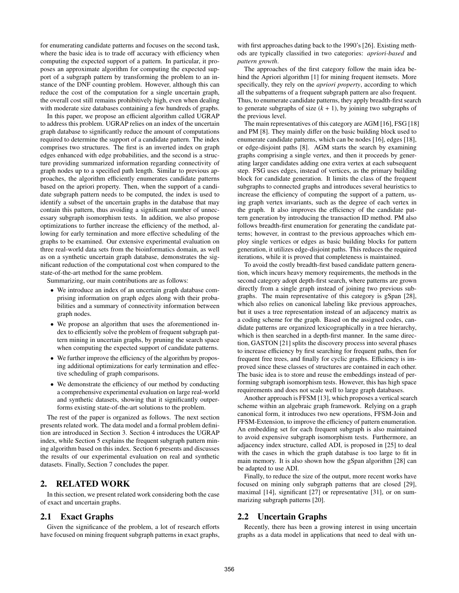for enumerating candidate patterns and focuses on the second task, where the basic idea is to trade off accuracy with efficiency when computing the expected support of a pattern. In particular, it proposes an approximate algorithm for computing the expected support of a subgraph pattern by transforming the problem to an instance of the DNF counting problem. However, although this can reduce the cost of the computation for a single uncertain graph, the overall cost still remains prohibitively high, even when dealing with moderate size databases containing a few hundreds of graphs.

In this paper, we propose an efficient algorithm called UGRAP to address this problem. UGRAP relies on an index of the uncertain graph database to significantly reduce the amount of computations required to determine the support of a candidate pattern. The index comprises two structures. The first is an inverted index on graph edges enhanced with edge probabilities, and the second is a structure providing summarized information regarding connectivity of graph nodes up to a specified path length. Similar to previous approaches, the algorithm efficiently enumerates candidate patterns based on the apriori property. Then, when the support of a candidate subgraph pattern needs to be computed, the index is used to identify a subset of the uncertain graphs in the database that may contain this pattern, thus avoiding a significant number of unnecessary subgraph isomorphism tests. In addition, we also propose optimizations to further increase the efficiency of the method, allowing for early termination and more effective scheduling of the graphs to be examined. Our extensive experimental evaluation on three real-world data sets from the bioinformatics domain, as well as on a synthetic uncertain graph database, demonstrates the significant reduction of the computational cost when compared to the state-of-the-art method for the same problem.

Summarizing, our main contributions are as follows:

- We introduce an index of an uncertain graph database comprising information on graph edges along with their probabilities and a summary of connectivity information between graph nodes.
- We propose an algorithm that uses the aforementioned index to efficiently solve the problem of frequent subgraph pattern mining in uncertain graphs, by pruning the search space when computing the expected support of candidate patterns.
- We further improve the efficiency of the algorithm by proposing additional optimizations for early termination and effective scheduling of graph comparisons.
- We demonstrate the efficiency of our method by conducting a comprehensive experimental evaluation on large real-world and synthetic datasets, showing that it significantly outperforms existing state-of-the-art solutions to the problem.

The rest of the paper is organized as follows. The next section presents related work. The data model and a formal problem definition are introduced in Section 3. Section 4 introduces the UGRAP index, while Section 5 explains the frequent subgraph pattern mining algorithm based on this index. Section 6 presents and discusses the results of our experimental evaluation on real and synthetic datasets. Finally, Section 7 concludes the paper.

# 2. RELATED WORK

In this section, we present related work considering both the case of exact and uncertain graphs.

## 2.1 Exact Graphs

Given the significance of the problem, a lot of research efforts have focused on mining frequent subgraph patterns in exact graphs,

with first approaches dating back to the 1990's [26]. Existing methods are typically classified in two categories: *apriori-based* and *pattern growth*.

The approaches of the first category follow the main idea behind the Apriori algorithm [1] for mining frequent itemsets. More specifically, they rely on the *apriori property*, according to which all the subpatterns of a frequent subgraph pattern are also frequent. Thus, to enumerate candidate patterns, they apply breadth-first search to generate subgraphs of size  $(k + 1)$ , by joining two subgraphs of the previous level.

The main representatives of this category are AGM [16], FSG [18] and PM [8]. They mainly differ on the basic building block used to enumerate candidate patterns, which can be nodes [16], edges [18], or edge-disjoint paths [8]. AGM starts the search by examining graphs comprising a single vertex, and then it proceeds by generating larger candidates adding one extra vertex at each subsequent step. FSG uses edges, instead of vertices, as the primary building block for candidate generation. It limits the class of the frequent subgraphs to connected graphs and introduces several heuristics to increase the efficiency of computing the support of a pattern, using graph vertex invariants, such as the degree of each vertex in the graph. It also improves the efficiency of the candidate pattern generation by introducing the transaction ID method. PM also follows breadth-first enumeration for generating the candidate patterns; however, in contrast to the previous approaches which employ single vertices or edges as basic building blocks for pattern generation, it utilizes edge-disjoint paths. This reduces the required iterations, while it is proved that completeness is maintained.

To avoid the costly breadth-first based candidate pattern generation, which incurs heavy memory requirements, the methods in the second category adopt depth-first search, where patterns are grown directly from a single graph instead of joining two previous subgraphs. The main representative of this category is gSpan [28], which also relies on canonical labeling like previous approaches, but it uses a tree representation instead of an adjacency matrix as a coding scheme for the graph. Based on the assigned codes, candidate patterns are organized lexicographically in a tree hierarchy, which is then searched in a depth-first manner. In the same direction, GASTON [21] splits the discovery process into several phases to increase efficiency by first searching for frequent paths, then for frequent free trees, and finally for cyclic graphs. Efficiency is improved since these classes of structures are contained in each other. The basic idea is to store and reuse the embeddings instead of performing subgraph isomorphism tests. However, this has high space requirements and does not scale well to large graph databases.

Another approach is FFSM [13], which proposes a vertical search scheme within an algebraic graph framework. Relying on a graph canonical form, it introduces two new operations, FFSM-Join and FFSM-Extension, to improve the efficiency of pattern enumeration. An embedding set for each frequent subgraph is also maintained to avoid expensive subgraph isomorphism tests. Furthermore, an adjacency index structure, called ADI, is proposed in [25] to deal with the cases in which the graph database is too large to fit in main memory. It is also shown how the gSpan algorithm [28] can be adapted to use ADI.

Finally, to reduce the size of the output, more recent works have focused on mining only subgraph patterns that are closed [29], maximal [14], significant [27] or representative [31], or on summarizing subgraph patterns [20].

### 2.2 Uncertain Graphs

Recently, there has been a growing interest in using uncertain graphs as a data model in applications that need to deal with un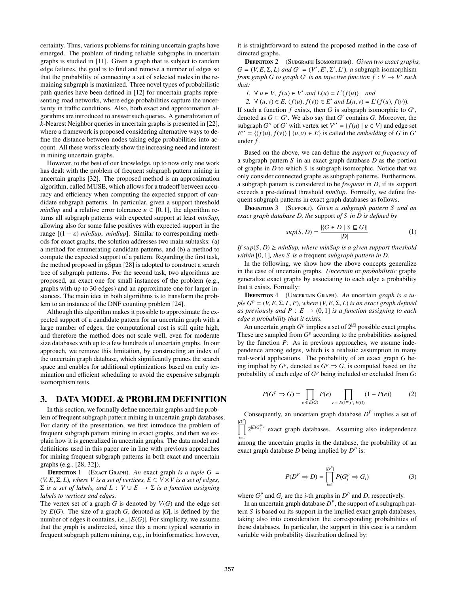certainty. Thus, various problems for mining uncertain graphs have emerged. The problem of finding reliable subgraphs in uncertain graphs is studied in [11]. Given a graph that is subject to random edge failures, the goal is to find and remove a number of edges so that the probability of connecting a set of selected nodes in the remaining subgraph is maximized. Three novel types of probabilistic path queries have been defined in [12] for uncertain graphs representing road networks, where edge probabilities capture the uncertainty in traffic conditions. Also, both exact and approximation algorithms are introduced to answer such queries. A generalization of *k*-Nearest Neighbor queries in uncertain graphs is presented in [22], where a framework is proposed considering alternative ways to define the distance between nodes taking edge probabilities into account. All these works clearly show the increasing need and interest in mining uncertain graphs.

However, to the best of our knowledge, up to now only one work has dealt with the problem of frequent subgraph pattern mining in uncertain graphs [32]. The proposed method is an approximation algorithm, called MUSE, which allows for a tradeoff between accuracy and efficiency when computing the expected support of candidate subgraph patterns. In particular, given a support threshold *minSup* and a relative error tolerance  $\varepsilon \in [0, 1]$ , the algorithm returns all subgraph patterns with expected support at least *minSup*, allowing also for some false positives with expected support in the range  $[(1 - \varepsilon)$  *minSup*, *minSup*]. Similar to corresponding methods for exact graphs, the solution addresses two main subtasks: (a) a method for enumerating candidate patterns, and (b) a method to compute the expected support of a pattern. Regarding the first task, the method proposed in gSpan [28] is adopted to construct a search tree of subgraph patterns. For the second task, two algorithms are proposed, an exact one for small instances of the problem (e.g., graphs with up to 30 edges) and an approximate one for larger instances. The main idea in both algorithms is to transform the problem to an instance of the DNF counting problem [24].

Although this algorithm makes it possible to approximate the expected support of a candidate pattern for an uncertain graph with a large number of edges, the computational cost is still quite high, and therefore the method does not scale well, even for moderate size databases with up to a few hundreds of uncertain graphs. In our approach, we remove this limitation, by constructing an index of the uncertain graph database, which significantly prunes the search space and enables for additional optimizations based on early termination and efficient scheduling to avoid the expensive subgraph isomorphism tests.

#### 3. DATA MODEL & PROBLEM DEFINITION

In this section, we formally define uncertain graphs and the problem of frequent subgraph pattern mining in uncertain graph databases. For clarity of the presentation, we first introduce the problem of frequent subgraph pattern mining in exact graphs, and then we explain how it is generalized in uncertain graphs. The data model and definitions used in this paper are in line with previous approaches for mining frequent subgraph patterns in both exact and uncertain graphs (e.g., [28, 32]).

**DEFINITION** 1 (EXACT GRAPH). An exact graph *is a tuple G* =  $(V, E, \Sigma, L)$ , where V is a set of vertices,  $E \subseteq V \times V$  is a set of edges,  $\Sigma$  *is a set of labels, and L* :  $V \cup E \rightarrow \Sigma$  *is a function assigning labels to vertices and edges.*

The vertex set of a graph  $G$  is denoted by  $V(G)$  and the edge set by  $E(G)$ . The size of a graph *G*, denoted as  $|G|$ , is defined by the number of edges it contains, i.e., |*E*(*G*)|. For simplicity, we assume that the graph is undirected, since this a more typical scenario in frequent subgraph pattern mining, e.g., in bioinformatics; however, it is straightforward to extend the proposed method in the case of directed graphs.

Definition 2 (Subgraph Isomorphism). *Given two exact graphs,*  $G = (V, E, \Sigma, L)$  *and*  $G' = (V', E', \Sigma', L')$ , *a* subgraph isomorphism *from graph G to graph G' is an injective function*  $f: V \rightarrow V'$  *such that:*

*1.* ∀ *u* ∈ *V*, *f*(*u*) ∈ *V' and*  $L(u) = L'(f(u))$ *, and* 

*2.* ∀  $(u, v) \in E$ ,  $(f(u), f(v)) \in E'$  *and*  $L(u, v) = L'(f(u), f(v))$ *.* If such a function  $f$  exists, then  $G$  is subgraph isomorphic to  $G'$ , denoted as  $G \sqsubseteq G'$ . We also say that  $G'$  contains  $G$ . Moreover, the subgraph *G*" of *G*' with vertex set  $V'' = \{f(u) | u \in V\}$  and edge set  $E'' = \{(f(u), f(v)) \mid (u, v) \in E\}$  is called the *embedding* of *G* in *G*<sup> $\prime$ </sup> under *f* .

Based on the above, we can define the *support* or *frequency* of a subgraph pattern *S* in an exact graph database *D* as the portion of graphs in *D* to which *S* is subgraph isomorphic. Notice that we only consider connected graphs as subgraph patterns. Furthermore, a subgraph pattern is considered to be *frequent* in *D*, if its support exceeds a pre-defined threshold *minSup*. Formally, we define frequent subgraph patterns in exact graph databases as follows.

Definition 3 (Support). *Given a subgraph pattern S and an exact graph database D, the* support *of S in D is defined by*

$$
sup(S, D) = \frac{|{G \in D \mid S \subseteq G}|}{|D|}
$$
 (1)

*If sup*( $S$ , $D$ )  $\geq$  *minSup, where minSup is a given support threshold within* [0, 1]*, then S is a* frequent *subgraph pattern in D.*

In the following, we show how the above concepts generalize in the case of uncertain graphs. *Uncertain* or *probabilistic* graphs generalize exact graphs by associating to each edge a probability that it exists. Formally:

Definition 4 (Uncertain Graph). *An* uncertain *graph is a tu* $ple G<sup>p</sup> = (V, E, \Sigma, L, P)$ *, where*  $(V, E, \Sigma, L)$  *is an exact graph defined as previously and P* :  $E \rightarrow (0, 1]$  *is a function assigning to each edge a probability that it exists.*

An uncertain graph  $G^p$  implies a set of  $2^{|E|}$  possible exact graphs. These are sampled from  $G^p$  according to the probabilities assigned by the function *P*. As in previous approaches, we assume independence among edges, which is a realistic assumption in many real-world applications. The probability of an exact graph *G* being implied by  $G^p$ , denoted as  $G^p \Rightarrow G$ , is computed based on the probability of each edge of *G<sup>p</sup>* being included or excluded from *G*:

$$
P(Gp \Rightarrow G) = \prod_{e \in E(G)} P(e) \prod_{e \in E(Gp) \setminus E(G)} (1 - P(e)) \tag{2}
$$

Consequently, an uncertain graph database  $D<sup>p</sup>$  implies a set of |*D<sup>P</sup>*  $\prod_{i=1}^{\infty} 2^{|E(G_i^p)|}$  exact graph databases. Assuming also independence |  $i=1$  among the uncertain graphs in the database, the probability of an exact graph database *D* being implied by  $D^P$  is:

$$
P(D^P \Rightarrow D) = \prod_{i=1}^{|D^P|} P(G_i^P \Rightarrow G_i)
$$
 (3)

where  $G_i^p$  and  $G_i$  are the *i*-th graphs in  $D^p$  and *D*, respectively.

In an uncertain graph database  $D^P$ , the support of a subgraph pattern *S* is based on its support in the implied exact graph databases, taking also into consideration the corresponding probabilities of these databases. In particular, the support in this case is a random variable with probability distribution defined by: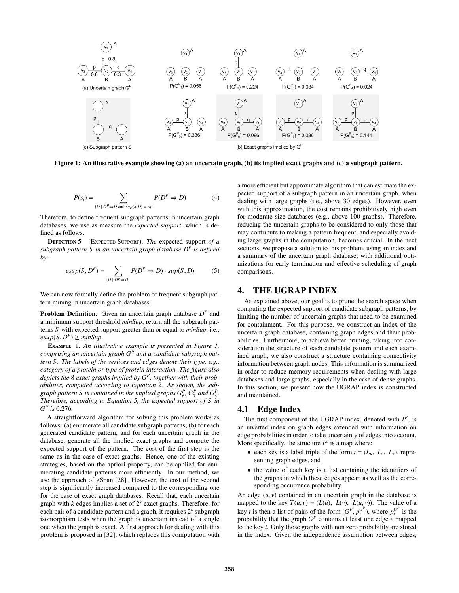

Figure 1: An illustrative example showing (a) an uncertain graph, (b) its implied exact graphs and (c) a subgraph pattern.

$$
P(s_i) = \sum_{\{D \mid D^P \Rightarrow D \text{ and } \sup(S, D) = s_i\}} P(D^P \Rightarrow D)
$$
 (4)

Therefore, to define frequent subgraph patterns in uncertain graph databases, we use as measure the *expected support*, which is defined as follows.

Definition 5 (Expected Support). *The* expected support *of a subgraph pattern S in an uncertain graph database D<sup>P</sup> is defined by:*

$$
esup(S, DP) = \sum_{\{D \mid DP \to D\}} P(DP \to D) \cdot sup(S, D) \tag{5}
$$

We can now formally define the problem of frequent subgraph pattern mining in uncertain graph databases.

Problem Definition. Given an uncertain graph database *D<sup>P</sup>* and a minimum support threshold *minSup*, return all the subgraph patterns *S* with expected support greater than or equal to *minSup*, i.e.,  $\text{exp}(S, D^P) \geq \text{minSup.}$ 

Example 1. *An illustrative example is presented in Figure 1, comprising an uncertain graph G<sup>P</sup> and a candidate subgraph pattern S . The labels of the vertices and edges denote their type, e.g., category of a protein or type of protein interaction. The figure also depicts the* 8 *exact graphs implied by GP, together with their probabilities, computed according to Equation 2. As shown, the subgraph pattern S is contained in the implied graphs*  $G_6^P$ *,*  $G_7^P$  *and*  $G_8^P$ *. Therefore, according to Equation 5, the expected support of S in G<sup>P</sup> is* 0.276*.*

A straightforward algorithm for solving this problem works as follows: (a) enumerate all candidate subgraph patterns; (b) for each generated candidate pattern, and for each uncertain graph in the database, generate all the implied exact graphs and compute the expected support of the pattern. The cost of the first step is the same as in the case of exact graphs. Hence, one of the existing strategies, based on the apriori property, can be applied for enumerating candidate patterns more efficiently. In our method, we use the approach of gSpan [28]. However, the cost of the second step is significantly increased compared to the corresponding one for the case of exact graph databases. Recall that, each uncertain graph with  $k$  edges implies a set of  $2^k$  exact graphs. Therefore, for each pair of a candidate pattern and a graph, it requires 2*<sup>k</sup>* subgraph isomorphism tests when the graph is uncertain instead of a single one when the graph is exact. A first approach for dealing with this problem is proposed in [32], which replaces this computation with a more efficient but approximate algorithm that can estimate the expected support of a subgraph pattern in an uncertain graph, when dealing with large graphs (i.e., above 30 edges). However, even with this approximation, the cost remains prohibitively high even for moderate size databases (e.g., above 100 graphs). Therefore, reducing the uncertain graphs to be considered to only those that may contribute to making a pattern frequent, and especially avoiding large graphs in the computation, becomes crucial. In the next sections, we propose a solution to this problem, using an index and a summary of the uncertain graph database, with additional optimizations for early termination and effective scheduling of graph comparisons.

## 4. THE UGRAP INDEX

As explained above, our goal is to prune the search space when computing the expected support of candidate subgraph patterns, by limiting the number of uncertain graphs that need to be examined for containment. For this purpose, we construct an index of the uncertain graph database, containing graph edges and their probabilities. Furthermore, to achieve better pruning, taking into consideration the structure of each candidate pattern and each examined graph, we also construct a structure containing connectivity information between graph nodes. This information is summarized in order to reduce memory requirements when dealing with large databases and large graphs, especially in the case of dense graphs. In this section, we present how the UGRAP index is constructed and maintained.

# 4.1 Edge Index

The first component of the UGRAP index, denoted with  $I^E$ , is an inverted index on graph edges extended with information on edge probabilities in order to take uncertainty of edges into account. More specifically, the structure  $I^E$  is a map where:

- each key is a label triple of the form  $t = (L_u, L_v, L_e)$ , representing graph edges, and
- the value of each key is a list containing the identifiers of the graphs in which these edges appear, as well as the corresponding occurrence probability.

An edge  $(u, v)$  contained in an uncertain graph in the database is mapped to the key  $T(u, v) = (L(u), L(v), L(u, v))$ . The value of a key *t* is then a list of pairs of the form  $(G^P, p_t^{G^P})$ , where  $p_t^{G^P}$  is the probability that the graph *G<sup>P</sup>* contains at least one edge *e* mapped to the key *t*. Only those graphs with non zero probability are stored in the index. Given the independence assumption between edges,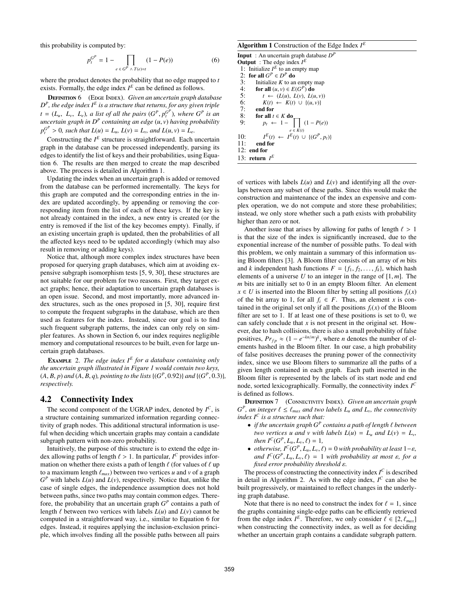this probability is computed by:

$$
p_t^{G^P} = 1 - \prod_{e \in G^P \land T(e) = t} (1 - P(e)) \tag{6}
$$

where the product denotes the probability that no edge mapped to *t* exists. Formally, the edge index  $I<sup>E</sup>$  can be defined as follows.

**DEFINITION 6** (EDGE INDEX). *Given an uncertain graph database*  $D^P$ , the edge index  $I^E$  *is a structure that returns, for any given triple*  $t = (L_u, L_v, L_e)$ , *a* list of all the pairs  $(G^P, p_t^{G^P})$ , where  $G^P$  is an *uncertain graph in D<sup>P</sup> containing an edge* (*u*, *v*) *having probability*  $p_t^{G^P} > 0$ , such that  $L(u) = L_u$ ,  $L(v) = L_v$ , and  $L(u, v) = L_e$ .

Constructing the  $I^E$  structure is straightforward. Each uncertain graph in the database can be processed independently, parsing its edges to identify the list of keys and their probabilities, using Equation 6. The results are then merged to create the map described above. The process is detailed in Algorithm 1.

Updating the index when an uncertain graph is added or removed from the database can be performed incrementally. The keys for this graph are computed and the corresponding entries in the index are updated accordingly, by appending or removing the corresponding item from the list of each of these keys. If the key is not already contained in the index, a new entry is created (or the entry is removed if the list of the key becomes empty). Finally, if an existing uncertain graph is updated, then the probabilities of all the affected keys need to be updated accordingly (which may also result in removing or adding keys).

Notice that, although more complex index structures have been proposed for querying graph databases, which aim at avoiding expensive subgraph isomorphism tests [5, 9, 30], these structures are not suitable for our problem for two reasons. First, they target exact graphs; hence, their adaptation to uncertain graph databases is an open issue. Second, and most importantly, more advanced index structures, such as the ones proposed in [5, 30], require first to compute the frequent subgraphs in the database, which are then used as features for the index. Instead, since our goal is to find such frequent subgraph patterns, the index can only rely on simpler features. As shown in Section 6, our index requires negligible memory and computational resources to be built, even for large uncertain graph databases.

**EXAMPLE** 2. *The edge index*  $I^E$  *for a database containing only the uncertain graph illustrated in Figure 1 would contain two keys,*  $(A, B, p)$  *and*  $(A, B, q)$ *, pointing to the lists*  ${(G^P, 0.92)}$  *and*  ${(G^P, 0.3)}$ *, respectively.*

# 4.2 Connectivity Index

The second component of the UGRAP index, denoted by  $I^C$ , is a structure containing summarized information regarding connectivity of graph nodes. This additional structural information is useful when deciding which uncertain graphs may contain a candidate subgraph pattern with non-zero probability.

Intuitively, the purpose of this structure is to extend the edge index allowing paths of length  $\ell > 1$ . In particular,  $I^C$  provides information on whether there exists a path of length  $\ell$  (for values of  $\ell$  up to a maximum length  $\ell_{max}$ ) between two vertices *u* and *v* of a graph  $G<sup>P</sup>$  with labels  $L(u)$  and  $L(v)$ , respectively. Notice that, unlike the case of single edges, the independence assumption does not hold between paths, since two paths may contain common edges. Therefore, the probability that an uncertain graph  $G<sup>P</sup>$  contains a path of length  $\ell$  between two vertices with labels  $L(u)$  and  $L(v)$  cannot be computed in a straightforward way, i.e., similar to Equation 6 for edges. Instead, it requires applying the inclusion-exclusion principle, which involves finding all the possible paths between all pairs

#### Algorithm 1 Construction of the Edge Index *I<sup>E</sup>*

**Input** : An uncertain graph database  $D^P$ **Output** : The edge index  $I^E$ 1: Initialize  $I^E$  to an empty map 2: **for all**  $G^P \in D^P$  **do**<br>3: Initialize *K* to an 3: Initialize *K* to an empty map<br>4: **for all**  $(u, v) \in E(G^P)$  **do** 4: for all  $(u, v) \in E(G^P)$  do<br>5:  $t \leftarrow (L(u), L(v), L(u))$ 5:  $t \leftarrow (L(u), L(v), L(u, v))$ <br>6:  $K(t) \leftarrow K(t) \cup \{(u, v)\}$ 6:  $K(t) \leftarrow K(t) \cup \{(u, v)\}$ <br>7: **end for** 7: end for  $8:$  for all  $t$ 8: for all *t* ∈ *K* do 9:  $p_t \leftarrow 1 - \prod$ *e* ∈ *K*(*t*)  $(1 - P(e))$ 10:  $I^E(t) \leftarrow I^E(t) \cup \{(G^P, p_t)\}$ 11: end for 12: end for 13: return *I<sup>E</sup>*

of vertices with labels  $L(u)$  and  $L(v)$  and identifying all the overlaps between any subset of these paths. Since this would make the construction and maintenance of the index an expensive and complex operation, we do not compute and store these probabilities; instead, we only store whether such a path exists with probability higher than zero or not.

Another issue that arises by allowing for paths of length  $\ell > 1$ is that the size of the index is significantly increased, due to the exponential increase of the number of possible paths. To deal with this problem, we only maintain a summary of this information using Bloom filters [3]. A Bloom filter consists of an array of *m* bits and *k* independent hash functions  $F = \{f_1, f_2, \ldots, f_k\}$ , which hash elements of a universe *U* to an integer in the range of [1, *m*]. The *m* bits are initially set to 0 in an empty Bloom filter. An element  $x \in U$  is inserted into the Bloom filter by setting all positions  $f_i(x)$ of the bit array to 1, for all  $f_i \in F$ . Thus, an element *x* is contained in the original set only if all the positions  $f_i(x)$  of the Bloom filter are set to 1. If at least one of these positions is set to 0, we can safely conclude that *x* is not present in the original set. However, due to hash collisions, there is also a small probability of false positives,  $Pr_{fp} \approx (1 - e^{-kn/m})^k$ , where *n* denotes the number of elements hashed in the Bloom filter. In our case, a high probability of false positives decreases the pruning power of the connectivity index, since we use Bloom filters to summarize all the paths of a given length contained in each graph. Each path inserted in the Bloom filter is represented by the labels of its start node and end node, sorted lexicographically. Formally, the connectivity index *I<sup>C</sup>* is defined as follows.

**DEFINITION 7** (CONNECTIVITY INDEX). *Given an uncertain graph*  $G^P$ , an integer  $\ell \leq \ell_{max}$  and two labels  $L_u$  and  $L_v$ , the connectivity *index I<sup>C</sup> is a structure such that:*

- *if the uncertain graph G<sup>P</sup> contains a path of length between two vertices u and v with labels*  $L(u) = L_u$  *and*  $L(v) = L_v$ *, then*  $I^C(G^P, L_u, L_v, \ell) = 1$ ,
- *otherwise,*  $I^C(G^P, L_u, L_v, \ell) = 0$  *with probability at least*  $1 \varepsilon$ *, and*  $I^C(G^P, L_u, L_v, \ell) = 1$  *with probability at most*  $\varepsilon$ *, for a fixed error probability threshold* ε*.*

The process of constructing the connectivity index  $I^C$  is described in detail in Algorithm 2. As with the edge index,  $I^C$  can also be built progressively, or maintained to reflect changes in the underlying graph database.

Note that there is no need to construct the index for  $\ell = 1$ , since the graphs containing single-edge paths can be efficiently retrieved from the edge index  $I^E$ . Therefore, we only consider  $\ell \in [2, \ell_{max}]$ when constructing the connectivity index, as well as for deciding whether an uncertain graph contains a candidate subgraph pattern.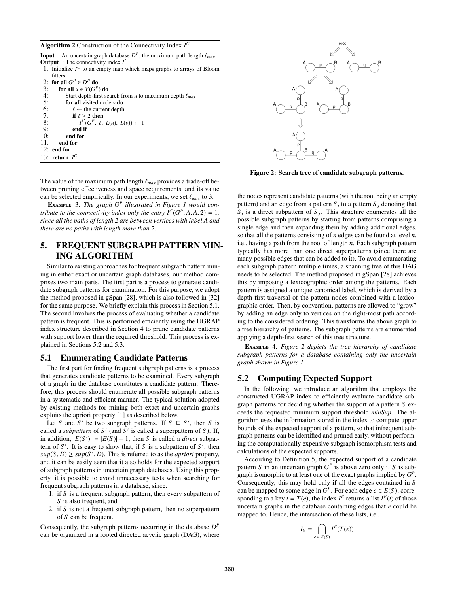Algorithm 2 Construction of the Connectivity Index *I<sup>C</sup>*

**Input** : An uncertain graph database  $D^P$ ; the maximum path length  $\ell_{max}$ Output : The connectivity index *I<sup>C</sup>*

1: Initialize  $I^C$  to an empty map which maps graphs to arrays of Bloom filters

2: for all  $G^P \in D^P$  do<br>3: for all  $u \in V(G^P)$ 3: **for all**  $u \in V(G^P)$  **do**<br>4: **Start depth-first se** 4: Start depth-first search from *u* to maximum depth  $\ell_{max}$ <br>5: **for all** visited node *v* **do** 5: **for all** visited node *v* **do**<br>6:  $\ell \leftarrow$  the current depth 6:  $\ell \leftarrow$  the current depth<br>7: **if**  $\ell > 2$  **then** 7: if  $\ell \geq 2$  then<br>8:  $I^C(G^P, \ell)$ 8:  $I^C(G^P, \ell, L(u), L(v)) \leftarrow 1$ <br>9: **end if** 9: end if<br>10: end for  $10:$  end for  $11:$  end for end for 12: end for 13: return  $I^C$ 

Figure 2: Search tree of candidate subgraph patterns.

The value of the maximum path length  $\ell_{max}$  provides a trade-off between pruning effectiveness and space requirements, and its value can be selected empirically. In our experiments, we set  $\ell_{max}$  to 3.

Example 3. *The graph G<sup>P</sup> illustrated in Figure 1 would contribute to the connectivity index only the entry*  $I^C(G^P, A, A, 2) = 1$ *, since all the paths of length 2 are between vertices with label A and there are no paths with length more than 2.*

# 5. FREQUENT SUBGRAPH PATTERN MIN-ING ALGORITHM

Similar to existing approaches for frequent subgraph pattern mining in either exact or uncertain graph databases, our method comprises two main parts. The first part is a process to generate candidate subgraph patterns for examination. For this purpose, we adopt the method proposed in gSpan [28], which is also followed in [32] for the same purpose. We briefly explain this process in Section 5.1. The second involves the process of evaluating whether a candidate pattern is frequent. This is performed efficiently using the UGRAP index structure described in Section 4 to prune candidate patterns with support lower than the required threshold. This process is explained in Sections 5.2 and 5.3.

# 5.1 Enumerating Candidate Patterns

The first part for finding frequent subgraph patterns is a process that generates candidate patterns to be examined. Every subgraph of a graph in the database constitutes a candidate pattern. Therefore, this process should enumerate all possible subgraph patterns in a systematic and efficient manner. The typical solution adopted by existing methods for mining both exact and uncertain graphs exploits the apriori property [1] as described below.

Let *S* and *S'* be two subgraph patterns. If  $S \subseteq S'$ , then *S* is called a *subpattern* of  $S'$  (and  $S'$  is called a superpattern of  $S$ ). If, in addition,  $|E(S')| = |E(S)| + 1$ , then *S* is called a *direct* subpattern of  $S'$ . It is easy to show that, if  $S$  is a subpattern of  $S'$ , then  $sup(S, D) \geq sup(S', D)$ . This is referred to as the *apriori* property, and it can be easily seen that it also holds for the expected support of subgraph patterns in uncertain graph databases. Using this property, it is possible to avoid unnecessary tests when searching for frequent subgraph patterns in a database, since:

- 1. if *S* is a frequent subgraph pattern, then every subpattern of *S* is also frequent, and
- 2. if *S* is not a frequent subgraph pattern, then no superpattern of *S* can be frequent.

Consequently, the subgraph patterns occurring in the database *D<sup>P</sup>* can be organized in a rooted directed acyclic graph (DAG), where the nodes represent candidate patterns (with the root being an empty pattern) and an edge from a pattern  $S_i$  to a pattern  $S_j$  denoting that  $S_i$  is a direct subpattern of  $S_j$ . This structure enumerates all the possible subgraph patterns by starting from patterns comprising a single edge and then expanding them by adding additional edges, so that all the patterns consisting of *n* edges can be found at level *n*, i.e., having a path from the root of length *n*. Each subgraph pattern typically has more than one direct superpatterns (since there are many possible edges that can be added to it). To avoid enumerating each subgraph pattern multiple times, a spanning tree of this DAG needs to be selected. The method proposed in gSpan [28] achieves this by imposing a lexicographic order among the patterns. Each pattern is assigned a unique canonical label, which is derived by a depth-first traversal of the pattern nodes combined with a lexicographic order. Then, by convention, patterns are allowed to "grow" by adding an edge only to vertices on the right-most path according to the considered ordering. This transforms the above graph to a tree hierarchy of patterns. The subgraph patterns are enumerated applying a depth-first search of this tree structure.

Example 4. *Figure 2 depicts the tree hierarchy of candidate subgraph patterns for a database containing only the uncertain graph shown in Figure 1.*

# 5.2 Computing Expected Support

In the following, we introduce an algorithm that employs the constructed UGRAP index to efficiently evaluate candidate subgraph patterns for deciding whether the support of a pattern *S* exceeds the requested minimum support threshold *minSup*. The algorithm uses the information stored in the index to compute upper bounds of the expected support of a pattern, so that infrequent subgraph patterns can be identified and pruned early, without performing the computationally expensive subgraph isomorphism tests and calculations of the expected supports.

According to Definition 5, the expected support of a candidate pattern *S* in an uncertain graph  $G<sup>P</sup>$  is above zero only if *S* is subgraph isomorphic to at least one of the exact graphs implied by *G<sup>P</sup>*. Consequently, this may hold only if all the edges contained in *S* can be mapped to some edge in  $G^P$ . For each edge  $e \in E(S)$ , corresponding to a key  $t = T(e)$ , the index  $I<sup>E</sup>$  returns a list  $I<sup>E</sup>(t)$  of those uncertain graphs in the database containing edges that *e* could be mapped to. Hence, the intersection of these lists, i.e.,

$$
I_S = \bigcap_{e \in E(S)} I^E(T(e))
$$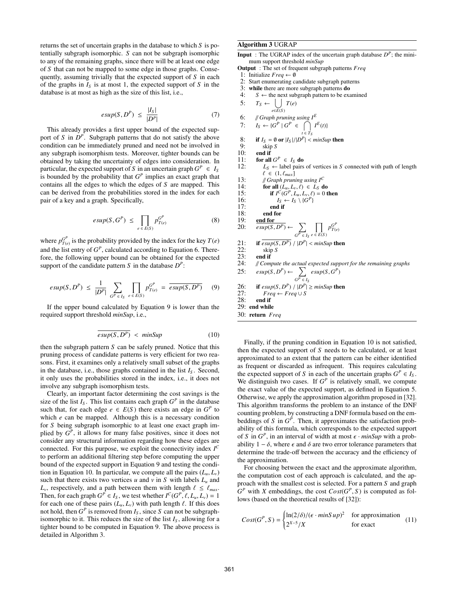returns the set of uncertain graphs in the database to which *S* is potentially subgraph isomorphic. *S* can not be subgraph isomorphic to any of the remaining graphs, since there will be at least one edge of *S* that can not be mapped to some edge in those graphs. Consequently, assuming trivially that the expected support of *S* in each of the graphs in  $I_S$  is at most 1, the expected support of  $S$  in the database is at most as high as the size of this list, i.e.,

$$
esup(S, D^P) \le \frac{|I_S|}{|D^P|} \tag{7}
$$

This already provides a first upper bound of the expected support of *S* in  $D^P$ . Subgraph patterns that do not satisfy the above condition can be immediately pruned and need not be involved in any subgraph isomorphism tests. Moreover, tighter bounds can be obtained by taking the uncertainty of edges into consideration. In particular, the expected support of *S* in an uncertain graph  $G^P \in I_S$ is bounded by the probability that *G<sup>P</sup>* implies an exact graph that contains all the edges to which the edges of *S* are mapped. This can be derived from the probabilities stored in the index for each pair of a key and a graph. Specifically,

$$
esup(S, G^P) \leq \prod_{e \in E(S)} p_{T(e)}^{G^P} \tag{8}
$$

where  $p_{T(e)}^{G^P}$  is the probability provided by the index for the key  $T(e)$ and the list entry of  $G^P$ , calculated according to Equation 6. Therefore, the following upper bound can be obtained for the expected support of the candidate pattern *S* in the database  $D^P$ :

$$
esup(S, DP) \leq \frac{1}{|DP|} \sum_{GP \in I_S} \prod_{e \in E(S)} p_{T(e)}^{GP} = \overline{esup(S, DP)} \qquad (9)
$$

If the upper bound calculated by Equation 9 is lower than the required support threshold *minSup*, i.e.,

$$
\overline{esup(S, D^P)} < minSup \tag{10}
$$

then the subgraph pattern *S* can be safely pruned. Notice that this pruning process of candidate patterns is very efficient for two reasons. First, it examines only a relatively small subset of the graphs in the database, i.e., those graphs contained in the list  $I<sub>S</sub>$ . Second, it only uses the probabilities stored in the index, i.e., it does not involve any subgraph isomorphism tests.

Clearly, an important factor determining the cost savings is the size of the list  $I_S$ . This list contains each graph  $G<sup>P</sup>$  in the database such that, for each edge  $e \in E(S)$  there exists an edge in  $G^P$  to which *e* can be mapped. Although this is a necessary condition for *S* being subgraph isomorphic to at least one exact graph implied by  $G<sup>P</sup>$ , it allows for many false positives, since it does not consider any structural information regarding how these edges are connected. For this purpose, we exploit the connectivity index *I<sup>C</sup>* to perform an additional filtering step before computing the upper bound of the expected support in Equation 9 and testing the condition in Equation 10. In particular, we compute all the pairs  $(L_u, L_v)$ such that there exists two vertices  $u$  and  $v$  in  $S$  with labels  $L_u$  and  $L_v$ , respectively, and a path between them with length  $\ell \leq \ell_{max}$ . Then, for each graph  $G^P \in I_S$ , we test whether  $I^C(G^P, \ell, L_u, L_v) = 1$ for each one of these pairs  $(L_u, L_v)$  with path length  $\ell$ . If this does not hold, then  $G<sup>P</sup>$  is removed from  $I<sub>S</sub>$ , since *S* can not be subgraphisomorphic to it. This reduces the size of the list  $I<sub>S</sub>$ , allowing for a tighter bound to be computed in Equation 9. The above process is detailed in Algorithm 3.

#### Algorithm 3 UGRAP

**Input** : The UGRAP index of the uncertain graph database  $D<sup>P</sup>$ ; the minimum support threshold *minSup*

- Output : The set of frequent subgraph patterns *Freq*
- 1: Initialize  $Freq \leftarrow \emptyset$
- 2: Start enumerating candidate subgraph patterns
- 3: while there are more subgraph patterns **do** 4:  $S \leftarrow$  the next subgraph pattern to be example.
- $S \leftarrow$  the next subgraph pattern to be examined
- 5:  $T_S \leftarrow \left( \left| T(e) \right. \right)$  $e \in E(S)$
- 6: // *Graph pruning using I<sup>E</sup>*

7: 
$$
I_S \leftarrow \{G^P | G^P \in \bigcap_{t \in T_S} I^E(t) \}
$$

- 8: **if**  $I_S = \emptyset$  or  $|I_S|/|D^P| < minSup$  then 9: skip *S*
- 9: skip *S*

 $10:$  end if  $11:$  for all

11: **for all**  $G^P \in I_S$  **do**<br>12:  $I_S \leftarrow$  label pairs  $L_S \leftarrow$  label pairs of vertices in *S* connected with path of length  $\ell \in (1, \ell_{max}]$ 

13: // *Graph pruning using I<sup>C</sup>*<br>14: **for all**  $(I_u, I_v, \ell) \in I_s$  **d** 

14: **for all** 
$$
(\tilde{L}_u, L_v, \tilde{\ell}) \in \tilde{L}_S
$$
 **do**  
15: **if**  $I^C(G^P, L_u, L_v, \ell) = 0$  **then**

16:  $I_S \leftarrow I_S \setminus \{G^P\}$ 

17: end if<br>18: end for 18: end for  $19:$  end for

$$
19: \quad \underline{\text{end for}} \qquad \qquad \Box
$$

20:  $\overline{esup(S, D^P)} \leftarrow \sum$  $G^P \in I_S$  $\Box$  $e \in E(S)$  $p_{T(e)}^{G^P}$ 

21: if 
$$
\overline{exp(S, D^P)} / |D^P| < min Sup
$$
 then  
22: skip *S*  
23: end if

23: end if<br>24:  $\#Com$ 24: // *Compute the actual expected support for the remaining graphs*<br>25:  $e \sin(S \cdot B^P) \leftarrow \sum e \sin(S \cdot G^P)$ 25:  $\exp(S, D^P) \leftarrow \sum \exp(S, G^P)$ 

$$
G^P \in I_S
$$

26: if 
$$
esup(S, D^P) / |D^P| \ge minSup
$$
 then  
27:  $Freq \leftarrow Freq \cup S$   
28: end if

end if

29: end while

```
30: return Freq
```
Finally, if the pruning condition in Equation 10 is not satisfied, then the expected support of *S* needs to be calculated, or at least approximated to an extent that the pattern can be either identified as frequent or discarded as infrequent. This requires calculating the expected support of *S* in each of the uncertain graphs  $G^P \in I_S$ . We distinguish two cases. If  $G<sup>P</sup>$  is relatively small, we compute the exact value of the expected support, as defined in Equation 5. Otherwise, we apply the approximation algorithm proposed in [32]. This algorithm transforms the problem to an instance of the DNF counting problem, by constructing a DNF formula based on the embeddings of *S* in  $G^P$ . Then, it approximates the satisfaction probability of this formula, which corresponds to the expected support of *S* in  $G^P$ , in an interval of width at most  $\epsilon \cdot minSup$  with a probability  $1 - \delta$ , where  $\epsilon$  and  $\delta$  are two error tolerance parameters that determine the trade-off between the accuracy and the efficiency of the approximation.

For choosing between the exact and the approximate algorithm, the computation cost of each approach is calculated, and the approach with the smallest cost is selected. For a pattern *S* and graph  $G^P$  with *X* embeddings, the cost  $Cost(G^P, S)$  is computed as follows (based on the theoretical results of [32]):

$$
Cost(G^{P}, S) = \begin{cases} \ln(2/\delta)/(\epsilon \cdot \min Sup)^{2} & \text{for approximation} \\ 2^{x-5}/X & \text{for exact} \end{cases}
$$
(11)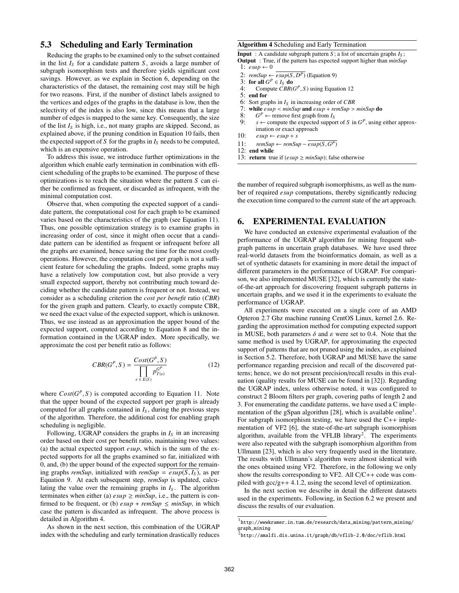# 5.3 Scheduling and Early Termination

Reducing the graphs to be examined only to the subset contained in the list  $I_s$  for a candidate pattern  $S$ , avoids a large number of subgraph isomorphism tests and therefore yields significant cost savings. However, as we explain in Section 6, depending on the characteristics of the dataset, the remaining cost may still be high for two reasons. First, if the number of distinct labels assigned to the vertices and edges of the graphs in the database is low, then the selectivity of the index is also low, since this means that a large number of edges is mapped to the same key. Consequently, the size of the list  $I<sub>S</sub>$  is high, i.e., not many graphs are skipped. Second, as explained above, if the pruning condition in Equation 10 fails, then the expected support of *S* for the graphs in  $I_s$  needs to be computed, which is an expensive operation.

To address this issue, we introduce further optimizations in the algorithm which enable early termination in combination with efficient scheduling of the graphs to be examined. The purpose of these optimizations is to reach the situation where the pattern *S* can either be confirmed as frequent, or discarded as infrequent, with the minimal computation cost.

Observe that, when computing the expected support of a candidate pattern, the computational cost for each graph to be examined varies based on the characteristics of the graph (see Equation 11). Thus, one possible optimization strategy is to examine graphs in increasing order of cost, since it might often occur that a candidate pattern can be identified as frequent or infrequent before all the graphs are examined, hence saving the time for the most costly operations. However, the computation cost per graph is not a sufficient feature for scheduling the graphs. Indeed, some graphs may have a relatively low computation cost, but also provide a very small expected support, thereby not contributing much toward deciding whether the candidate pattern is frequent or not. Instead, we consider as a scheduling criterion the *cost per benefit* ratio (*CBR*) for the given graph and pattern. Clearly, to exactly compute CBR, we need the exact value of the expected support, which is unknown. Thus, we use instead as an approximation the upper bound of the expected support, computed according to Equation 8 and the information contained in the UGRAP index. More specifically, we approximate the cost per benefit ratio as follows:

$$
CBR(G^P, S) = \frac{Cost(G^P, S)}{\prod_{e \in E(S)} p_{T(e)}^{G^P}}
$$
(12)

where  $Cost(G^P, S)$  is computed according to Equation 11. Note that the upper bound of the expected support per graph is already computed for all graphs contained in  $I_s$ , during the previous steps of the algorithm. Therefore, the additional cost for enabling graph scheduling is negligible.

Following, UGRAP considers the graphs in  $I<sub>S</sub>$  in an increasing order based on their cost per benefit ratio, maintaining two values: (a) the actual expected support *esup*, which is the sum of the expected supports for all the graphs examined so far, initialized with 0, and, (b) the upper bound of the expected support for the remaining graphs *remSup*, initialized with  $remSup = \varepsilon sup(S, I_S)$ , as per Equation 9. At each subsequent step, *remSup* is updated, calculating the value over the remaining graphs in  $I<sub>S</sub>$ . The algorithm terminates when either (a)  $\exp \geq minSup$ , i.e., the pattern is confirmed to be frequent, or (b)  $\exp + \text{remSup } \leq \text{minSup }$ , in which case the pattern is discarded as infrequent. The above process is detailed in Algorithm 4.

As shown in the next section, this combination of the UGRAP index with the scheduling and early termination drastically reduces

#### Algorithm 4 Scheduling and Early Termination

**Input** : A candidate subgraph pattern *S*; a list of uncertain graphs  $I_S$ ; Output : True, if the pattern has expected support higher than *minSup* 1:  $\textit{esup} \leftarrow 0$ 

- 
- 2:  $remSup \leftarrow \overline{esup(S, D^P)}$  (Equation 9)<br>3: **for all**  $G^P \in I_S$  **do**
- 3: for all  $G^P \in I_S$  do<br>4: Compute CBR( Compute  $CBR(G^P, S)$  using Equation 12
- 5: end for
- 6: Sort graphs in  $I_S$  in increasing order of *CBR*<br>7: while  $\exp \le \min \sup$  and  $\exp + \text{rem} \sup >$
- 7: while *esup* < *minSup* and *esup* + *remSup* > *minSup* do
- 8: *G<sup>P</sup>* ← remove first graph from *I<sub>S</sub>*<br>9: *s* ← compute the expected support
- $s \leftarrow$  compute the expected support of *S* in  $G<sup>P</sup>$ , using either approximation or exact approach
- 10:  $esup \leftarrow esup + s$
- 11: *remSup* ← *remSup* − *esup*(*S*,*GP*)
- $12<sup>°</sup>$  end while
- 13: **return** true if ( $esup \ge minSup$ ); false otherwise

the number of required subgraph isomorphisms, as well as the number of required *esup* computations, thereby significantly reducing the execution time compared to the current state of the art approach.

# 6. EXPERIMENTAL EVALUATION

We have conducted an extensive experimental evaluation of the performance of the UGRAP algorithm for mining frequent subgraph patterns in uncertain graph databases. We have used three real-world datasets from the bioinformatics domain, as well as a set of synthetic datasets for examining in more detail the impact of different parameters in the performance of UGRAP. For comparison, we also implemented MUSE [32], which is currently the stateof-the-art approach for discovering frequent subgraph patterns in uncertain graphs, and we used it in the experiments to evaluate the performance of UGRAP.

All experiments were executed on a single core of an AMD Opteron 2.7 Ghz machine running CentOS Linux, kernel 2.6. Regarding the approximation method for computing expected support in MUSE, both parameters  $\delta$  and  $\varepsilon$  were set to 0.4. Note that the same method is used by UGRAP, for approximating the expected support of patterns that are not pruned using the index, as explained in Section 5.2. Therefore, both UGRAP and MUSE have the same performance regarding precision and recall of the discovered patterns; hence, we do not present precision/recall results in this evaluation (quality results for MUSE can be found in [32]). Regarding the UGRAP index, unless otherwise noted, it was configured to construct 2 Bloom filters per graph, covering paths of length 2 and 3. For enumerating the candidate patterns, we have used a C implementation of the gSpan algorithm [28], which is available online<sup>1</sup>. For subgraph isomorphism testing, we have used the C++ implementation of VF2 [6], the state-of-the-art subgraph isomorphism algorithm, available from the VFLIB library<sup>2</sup>. The experiments were also repeated with the subgraph isomorphism algorithm from Ullmann [23], which is also very frequently used in the literature. The results with Ullmann's algorithm were almost identical with the ones obtained using VF2. Therefore, in the following we only show the results corresponding to VF2. All C/C++ code was compiled with  $\frac{gc}{g++ 4.1.2}$ , using the second level of optimization.

In the next section we describe in detail the different datasets used in the experiments. Following, in Section 6.2 we present and discuss the results of our evaluation.

 $1$ http://www.kramer.in.tum.de/research/data\_mining/pattern\_mining/ graph\_mining

 $^2$ http://amalfi.dis.unina.it/graph/db/vflib-2.0/doc/vflib.html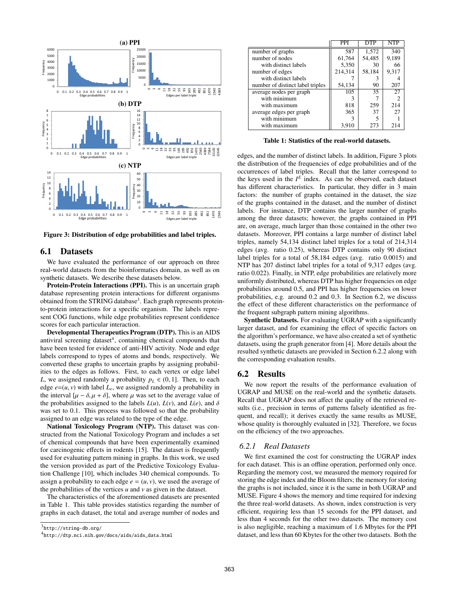

Figure 3: Distribution of edge probabilities and label triples.

# 6.1 Datasets

We have evaluated the performance of our approach on three real-world datasets from the bioinformatics domain, as well as on synthetic datasets. We describe these datasets below.

Protein-Protein Interactions (PPI). This is an uncertain graph database representing protein interactions for different organisms obtained from the STRING database<sup>3</sup>. Each graph represents proteinto-protein interactions for a specific organism. The labels represent COG functions, while edge probabilities represent confidence scores for each particular interaction.

Developmental Therapeutics Program (DTP). This is an AIDS antiviral screening dataset<sup>4</sup>, containing chemical compounds that have been tested for evidence of anti-HIV activity. Node and edge labels correspond to types of atoms and bonds, respectively. We converted these graphs to uncertain graphs by assigning probabilities to the edges as follows. First, to each vertex or edge label *L*, we assigned randomly a probability  $p_L \in (0, 1]$ . Then, to each edge  $e=(u, v)$  with label  $L_e$ , we assigned randomly a probability in the interval  $[\mu - \delta, \mu + \delta]$ , where  $\mu$  was set to the average value of the probabilities assigned to the labels  $L(u)$ ,  $L(v)$ , and  $L(e)$ , and  $\delta$ was set to 0.1. This process was followed so that the probability assigned to an edge was related to the type of the edge.

National Toxicology Program (NTP). This dataset was constructed from the National Toxicology Program and includes a set of chemical compounds that have been experimentally examined for carcinogenic effects in rodents [15]. The dataset is frequently used for evaluating pattern mining in graphs. In this work, we used the version provided as part of the Predictive Toxicology Evaluation Challenge [10], which includes 340 chemical compounds. To assign a probability to each edge  $e = (u, v)$ , we used the average of the probabilities of the vertices  $u$  and  $v$  as given in the dataset.

The characteristics of the aforementioned datasets are presented in Table 1. This table provides statistics regarding the number of graphs in each dataset, the total and average number of nodes and

 $3$ http://string-db.org/

|                                  | PPI     | DTF    | NTF   |
|----------------------------------|---------|--------|-------|
| number of graphs                 | 587     | 1,572  | 340   |
| number of nodes                  | 61,764  | 54,485 | 9,189 |
| with distinct labels             | 5,350   | 30     | 66    |
| number of edges                  | 214,314 | 58,184 | 9,317 |
| with distinct labels             |         |        |       |
| number of distinct label triples | 54,134  | 90     | 207   |
| average nodes per graph          | 105     | 35     | 27    |
| with minimum                     | 3       |        | 2     |
| with maximum                     | 818     | 259    | 214   |
| average edges per graph          | 365     | 37     | 27    |
| with minimum                     |         |        |       |
| with maximum                     | 3,910   | 273    | 214   |

Table 1: Statistics of the real-world datasets.

edges, and the number of distinct labels. In addition, Figure 3 plots the distribution of the frequencies of edge probabilities and of the occurrences of label triples. Recall that the latter correspond to the keys used in the  $I^E$  index. As can be observed, each dataset has different characteristics. In particular, they differ in 3 main factors: the number of graphs contained in the dataset, the size of the graphs contained in the dataset, and the number of distinct labels. For instance, DTP contains the larger number of graphs among the three datasets; however, the graphs contained in PPI are, on average, much larger than those contained in the other two datasets. Moreover, PPI contains a large number of distinct label triples, namely 54,134 distinct label triples for a total of 214,314 edges (avg. ratio 0.25), whereas DTP contains only 90 distinct label triples for a total of 58,184 edges (avg. ratio 0.0015) and NTP has 207 distinct label triples for a total of 9,317 edges (avg. ratio 0.022). Finally, in NTP, edge probabilities are relatively more uniformly distributed, whereas DTP has higher frequencies on edge probabilities around 0.5, and PPI has higher frequencies on lower probabilities, e.g. around 0.2 and 0.3. In Section 6.2, we discuss the effect of these different characteristics on the performance of the frequent subgraph pattern mining algorithms.

Synthetic Datasets. For evaluating UGRAP with a significantly larger dataset, and for examining the effect of specific factors on the algorithm's performance, we have also created a set of synthetic datasets, using the graph generator from [4]. More details about the resulted synthetic datasets are provided in Section 6.2.2 along with the corresponding evaluation results.

### 6.2 Results

We now report the results of the performance evaluation of UGRAP and MUSE on the real-world and the synthetic datasets. Recall that UGRAP does not affect the quality of the retrieved results (i.e., precision in terms of patterns falsely identified as frequent, and recall); it derives exactly the same results as MUSE, whose quality is thoroughly evaluated in [32]. Therefore, we focus on the efficiency of the two approaches.

#### *6.2.1 Real Datasets*

We first examined the cost for constructing the UGRAP index for each dataset. This is an offline operation, performed only once. Regarding the memory cost, we measured the memory required for storing the edge index and the Bloom filters; the memory for storing the graphs is not included, since it is the same in both UGRAP and MUSE. Figure 4 shows the memory and time required for indexing the three real-world datasets. As shown, index construction is very efficient, requiring less than 15 seconds for the PPI dataset, and less than 4 seconds for the other two datasets. The memory cost is also negligible, reaching a maximum of 1.6 Mbytes for the PPI dataset, and less than 60 Kbytes for the other two datasets. Both the

<sup>4</sup>http://dtp.nci.nih.gov/docs/aids/aids\_data.html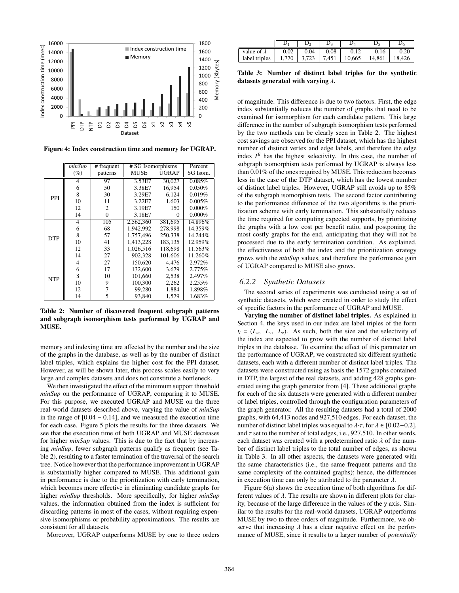

Figure 4: Index construction time and memory for UGRAP.

|            | minSup         | # frequent | # SG Isomorphisms |              | Percent   |
|------------|----------------|------------|-------------------|--------------|-----------|
|            | (%)            | patterns   | <b>MUSE</b>       | <b>UGRAP</b> | SG Isom.  |
| PPI        | 4              | 97         | 3.53E7            | 30,027       | 0.085%    |
|            | 6              | 50         | 3.38E7            | 16,954       | 0.050%    |
|            | 8              | 30         | 3.29E7            | 6,124        | 0.019%    |
|            | 10             | 11         | 3.22E7            | 1,603        | 0.005%    |
|            | 12             | 2          | 3.19E7            | 150          | $0.000\%$ |
|            | 14             | 0          | 3.18E7            | $\Omega$     | $0.000\%$ |
| <b>DTP</b> | 4              | 105        | 2.562.360         | 381.695      | 14.896%   |
|            | 6              | 68         | 1.942.992         | 278,998      | 14.359%   |
|            | 8              | 57         | 1,757,496         | 250,338      | 14.244%   |
|            | 10             | 41         | 1.413.228         | 183,135      | 12.959%   |
|            | 12             | 33         | 1,026,516         | 118,698      | 11.563%   |
|            | 14             | 27         | 902,328           | 101,606      | 11.260%   |
| <b>NTP</b> | $\overline{4}$ | 27         | 150,620           | 4.476        | 2.972%    |
|            | 6              | 17         | 132,600           | 3,679        | 2.775%    |
|            | 8              | 10         | 101,660           | 2,538        | 2.497%    |
|            | 10             | 9          | 100,300           | 2,262        | 2.255%    |
|            | 12             | 7          | 99,280            | 1,884        | 1.898%    |
|            | 14             | 5          | 93.840            | 1,579        | 1.683%    |

Table 2: Number of discovered frequent subgraph patterns and subgraph isomorphism tests performed by UGRAP and MUSE.

memory and indexing time are affected by the number and the size of the graphs in the database, as well as by the number of distinct label triples, which explains the higher cost for the PPI dataset. However, as will be shown later, this process scales easily to very large and complex datasets and does not constitute a bottleneck.

We then investigated the effect of the minimum support threshold *minSup* on the performance of UGRAP, comparing it to MUSE. For this purpose, we executed UGRAP and MUSE on the three real-world datasets described above, varying the value of *minSup* in the range of  $[0.04 - 0.14]$ , and we measured the execution time for each case. Figure 5 plots the results for the three datasets. We see that the execution time of both UGRAP and MUSE decreases for higher *minSup* values. This is due to the fact that by increasing *minSup*, fewer subgraph patterns qualify as frequent (see Table 2), resulting to a faster termination of the traversal of the search tree. Notice however that the performance improvement in UGRAP is substantially higher compared to MUSE. This additional gain in performance is due to the prioritization with early termination, which becomes more effective in eliminating candidate graphs for higher *minSup* thresholds. More specifically, for higher *minSup* values, the information obtained from the index is sufficient for discarding patterns in most of the cases, without requiring expensive isomorphisms or probability approximations. The results are consistent for all datasets.

Moreover, UGRAP outperforms MUSE by one to three orders

|                    |       | D٠    | D٠   | DΔ     |        |       |
|--------------------|-------|-------|------|--------|--------|-------|
| value of $\lambda$ | 0.02  | 0.04  | 0.08 |        |        |       |
| label triples      | 1,770 | 3.723 | .451 | 10,665 | 14,861 | 8,426 |

Table 3: Number of distinct label triples for the synthetic datasets generated with varying  $\lambda$ .

of magnitude. This difference is due to two factors. First, the edge index substantially reduces the number of graphs that need to be examined for isomorphism for each candidate pattern. This large difference in the number of subgraph isomorphism tests performed by the two methods can be clearly seen in Table 2. The highest cost savings are observed for the PPI dataset, which has the highest number of distinct vertex and edge labels, and therefore the edge index  $I<sup>E</sup>$  has the highest selectivity. In this case, the number of subgraph isomorphism tests performed by UGRAP is always less than 0.01% of the ones required by MUSE. This reduction becomes less in the case of the DTP dataset, which has the lowest number of distinct label triples. However, UGRAP still avoids up to 85% of the subgraph isomorphism tests. The second factor contributing to the performance difference of the two algorithms is the prioritization scheme with early termination. This substantially reduces the time required for computing expected supports, by prioritizing the graphs with a low cost per benefit ratio, and postponing the most costly graphs for the end, anticipating that they will not be processed due to the early termination condition. As explained, the effectiveness of both the index and the prioritization strategy grows with the *minSup* values, and therefore the performance gain of UGRAP compared to MUSE also grows.

#### *6.2.2 Synthetic Datasets*

The second series of experiments was conducted using a set of synthetic datasets, which were created in order to study the effect of specific factors in the performance of UGRAP and MUSE.

Varying the number of distinct label triples. As explained in Section 4, the keys used in our index are label triples of the form  $t_i = (L_u, L_v, L_e)$ . As such, both the size and the selectivity of the index are expected to grow with the number of distinct label triples in the database. To examine the effect of this parameter on the performance of UGRAP, we constructed six different synthetic datasets, each with a different number of distinct label triples. The datasets were constructed using as basis the 1572 graphs contained in DTP, the largest of the real datasets, and adding 428 graphs generated using the graph generator from [4]. These additional graphs for each of the six datasets were generated with a different number of label triples, controlled through the configuration parameters of the graph generator. All the resulting datasets had a total of 2000 graphs, with 64,413 nodes and 927,510 edges. For each dataset, the number of distinct label triples was equal to  $\lambda \cdot \tau$ , for  $\lambda \in [0.02-0.2]$ , and  $\tau$  set to the number of total edges, i.e., 927,510. In other words, each dataset was created with a predetermined ratio  $\lambda$  of the number of distinct label triples to the total number of edges, as shown in Table 3. In all other aspects, the datasets were generated with the same characteristics (i.e., the same frequent patterns and the same complexity of the contained graphs); hence, the differences in execution time can only be attributed to the parameter  $\lambda$ .

Figure 6(a) shows the execution time of both algorithms for different values of  $\lambda$ . The results are shown in different plots for clarity, because of the large difference in the values of the y axis. Similar to the results for the real-world datasets, UGRAP outperforms MUSE by two to three orders of magnitude. Furthermore, we observe that increasing  $\lambda$  has a clear negative effect on the performance of MUSE, since it results to a larger number of *potentially*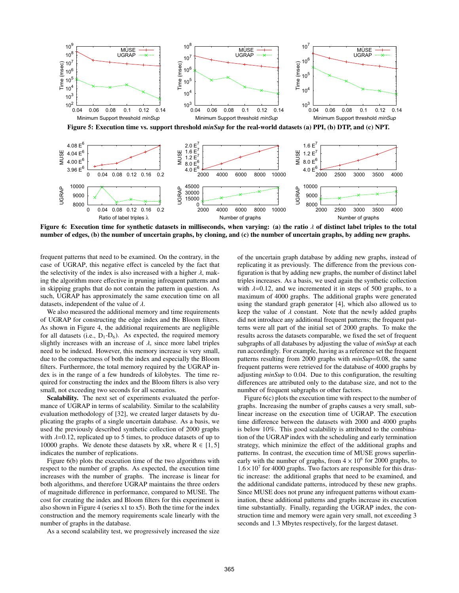



 0 0.04 0.08 0.12 0.16 0.2 Ratio of label triples λ  $0 \frac{1}{2000}$  2000 4000 6000 8000 10000 Number of graphs  $\frac{1}{2000}$  2000 2500 3000 3500 4000 Number of graphs Figure 6: Execution time for synthetic datasets in milliseconds, when varying: (a) the ratio  $\lambda$  of distinct label triples to the total number of edges, (b) the number of uncertain graphs, by cloning, and (c) the number of uncertain graphs, by adding new graphs.

15000 30000 45000

UGRAP

frequent patterns that need to be examined. On the contrary, in the case of UGRAP, this negative effect is canceled by the fact that the selectivity of the index is also increased with a higher  $\lambda$ , making the algorithm more effective in pruning infrequent patterns and in skipping graphs that do not contain the pattern in question. As such, UGRAP has approximately the same execution time on all datasets, independent of the value of  $\lambda$ .

 8000 9000 10000

UGRAP

We also measured the additional memory and time requirements of UGRAP for constructing the edge index and the Bloom filters. As shown in Figure 4, the additional requirements are negligible for all datasets (i.e.,  $D_1 - D_6$ ). As expected, the required memory slightly increases with an increase of  $\lambda$ , since more label triples need to be indexed. However, this memory increase is very small, due to the compactness of both the index and especially the Bloom filters. Furthermore, the total memory required by the UGRAP index is in the range of a few hundreds of kilobytes. The time required for constructing the index and the Bloom filters is also very small, not exceeding two seconds for all scenarios.

Scalability. The next set of experiments evaluated the performance of UGRAP in terms of scalability. Similar to the scalability evaluation methodology of [32], we created larger datasets by duplicating the graphs of a single uncertain database. As a basis, we used the previously described synthetic collection of 2000 graphs with  $\lambda$ =0.12, replicated up to 5 times, to produce datasets of up to 10000 graphs. We denote these datasets by xR, where  $R \in [1, 5]$ indicates the number of replications.

Figure 6(b) plots the execution time of the two algorithms with respect to the number of graphs. As expected, the execution time increases with the number of graphs. The increase is linear for both algorithms, and therefore UGRAP maintains the three orders of magnitude difference in performance, compared to MUSE. The cost for creating the index and Bloom filters for this experiment is also shown in Figure 4 (series x1 to x5). Both the time for the index construction and the memory requirements scale linearly with the number of graphs in the database.

As a second scalability test, we progressively increased the size

of the uncertain graph database by adding new graphs, instead of replicating it as previously. The difference from the previous configuration is that by adding new graphs, the number of distinct label triples increases. As a basis, we used again the synthetic collection with  $\lambda$ =0.12, and we incremented it in steps of 500 graphs, to a maximum of 4000 graphs. The additional graphs were generated using the standard graph generator [4], which also allowed us to keep the value of  $\lambda$  constant. Note that the newly added graphs did not introduce any additional frequent patterns; the frequent patterns were all part of the initial set of 2000 graphs. To make the results across the datasets comparable, we fixed the set of frequent subgraphs of all databases by adjusting the value of *minSup* at each run accordingly. For example, having as a reference set the frequent patterns resulting from 2000 graphs with *minSup*=0.08, the same frequent patterns were retrieved for the database of 4000 graphs by adjusting *minSup* to 0.04. Due to this configuration, the resulting differences are attributed only to the database size, and not to the number of frequent subgraphs or other factors.

 9000 10000

UGRAP

Figure 6(c) plots the execution time with respect to the number of graphs. Increasing the number of graphs causes a very small, sublinear increase on the execution time of UGRAP. The execution time difference between the datasets with 2000 and 4000 graphs is below 10%. This good scalability is attributed to the combination of the UGRAP index with the scheduling and early termination strategy, which minimize the effect of the additional graphs and patterns. In contrast, the execution time of MUSE grows superlinearly with the number of graphs, from  $4 \times 10^6$  for 2000 graphs, to  $1.6 \times 10^7$  for 4000 graphs. Two factors are responsible for this drastic increase: the additional graphs that need to be examined, and the additional candidate patterns, introduced by these new graphs. Since MUSE does not prune any infrequent patterns without examination, these additional patterns and graphs increase its execution time substantially. Finally, regarding the UGRAP index, the construction time and memory were again very small, not exceeding 3 seconds and 1.3 Mbytes respectively, for the largest dataset.